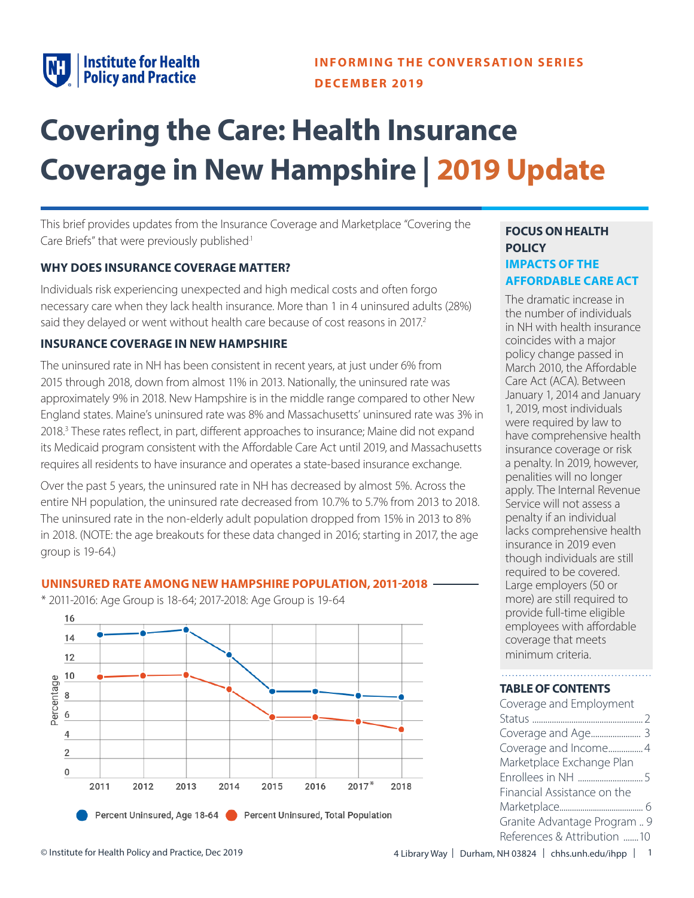

This brief provides updates from the Insurance Coverage and Marketplace "Covering the Care Briefs" that were previously published<sup>1</sup>

#### **WHY DOES INSURANCE COVERAGE MATTER?**

Individuals risk experiencing unexpected and high medical costs and often forgo necessary care when they lack health insurance. More than 1 in 4 uninsured adults (28%) said they delayed or went without health care because of cost reasons in 2017.<sup>2</sup>

#### **INSURANCE COVERAGE IN NEW HAMPSHIRE**

The uninsured rate in NH has been consistent in recent years, at just under 6% from 2015 through 2018, down from almost 11% in 2013. Nationally, the uninsured rate was approximately 9% in 2018. New Hampshire is in the middle range compared to other New England states. Maine's uninsured rate was 8% and Massachusetts' uninsured rate was 3% in 2018.<sup>3</sup> These rates reflect, in part, different approaches to insurance; Maine did not expand its Medicaid program consistent with the Affordable Care Act until 2019, and Massachusetts requires all residents to have insurance and operates a state-based insurance exchange.

Over the past 5 years, the uninsured rate in NH has decreased by almost 5%. Across the entire NH population, the uninsured rate decreased from 10.7% to 5.7% from 2013 to 2018. The uninsured rate in the non-elderly adult population dropped from 15% in 2013 to 8% in 2018. (NOTE: the age breakouts for these data changed in 2016; starting in 2017, the age group is 19-64.)

#### **UNINSURED RATE AMONG NEW HAMPSHIRE POPULATION, 2011-2018**



\* 2011-2016: Age Group is 18-64; 2017-2018: Age Group is 19-64

# **FOCUS ON HEALTH POLICY IMPACTS OF THE AFFORDABLE CARE ACT**

The dramatic increase in the number of individuals in NH with health insurance coincides with a major policy change passed in March 2010, the Affordable Care Act (ACA). Between January 1, 2014 and January 1, 2019, most individuals were required by law to have comprehensive health insurance coverage or risk a penalty. In 2019, however, penalities will no longer apply. The Internal Revenue Service will not assess a penalty if an individual lacks comprehensive health insurance in 2019 even though individuals are still required to be covered. Large employers (50 or more) are still required to provide full-time eligible employees with affordable coverage that meets minimum criteria.

#### **TABLE OF CONTENTS**

| Coverage and Employment      |  |
|------------------------------|--|
|                              |  |
|                              |  |
| Coverage and Income4         |  |
| Marketplace Exchange Plan    |  |
|                              |  |
| Financial Assistance on the  |  |
|                              |  |
| Granite Advantage Program  9 |  |
| References & Attribution 10  |  |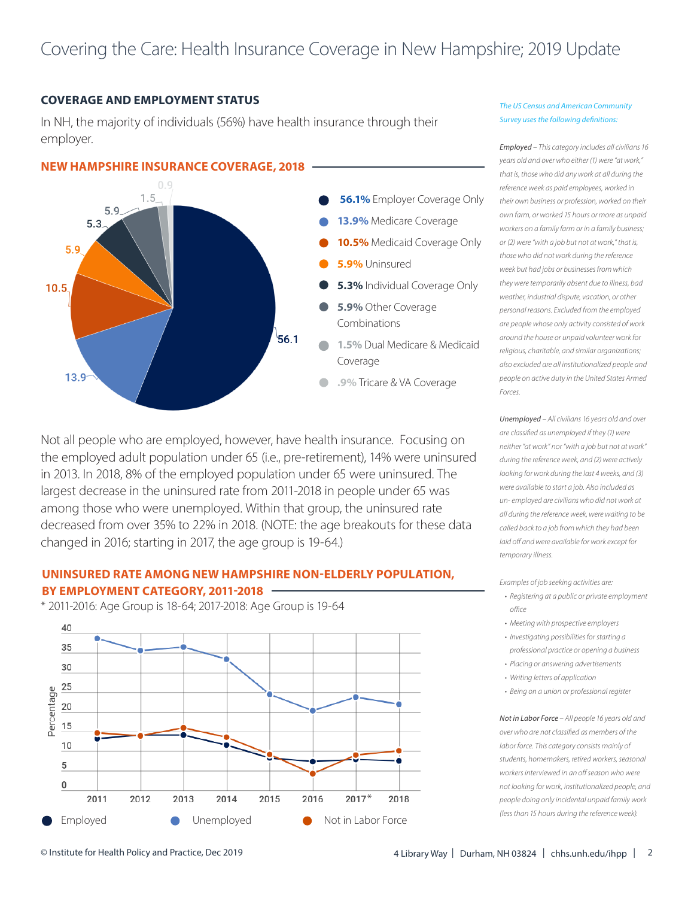#### **COVERAGE AND EMPLOYMENT STATUS**

In NH, the majority of individuals (56%) have health insurance through their employer.



Not all people who are employed, however, have health insurance. Focusing on the employed adult population under 65 (i.e., pre-retirement), 14% were uninsured in 2013. In 2018, 8% of the employed population under 65 were uninsured. The largest decrease in the uninsured rate from 2011-2018 in people under 65 was among those who were unemployed. Within that group, the uninsured rate decreased from over 35% to 22% in 2018. (NOTE: the age breakouts for these data changed in 2016; starting in 2017, the age group is 19-64.)

### **UNINSURED RATE AMONG NEW HAMPSHIRE NON-ELDERLY POPULATION, BY EMPLOYMENT CATEGORY, 2011-2018**

\* 2011-2016: Age Group is 18-64; 2017-2018: Age Group is 19-64



#### *The US Census and American Community Survey uses the following definitions:*

*Employed – This category includes all civilians 16 years old and over who either (1) were "at work," that is, those who did any work at all during the reference week as paid employees, worked in their own business or profession, worked on their own farm, or worked 15 hours or more as unpaid workers on a family farm or in a family business; or (2) were "with a job but not at work," that is, those who did not work during the reference week but had jobs or businesses from which they were temporarily absent due to illness, bad weather, industrial dispute, vacation, or other personal reasons. Excluded from the employed are people whose only activity consisted of work around the house or unpaid volunteer work for religious, charitable, and similar organizations; also excluded are all institutionalized people and people on active duty in the United States Armed Forces.*

*Unemployed – All civilians 16 years old and over are classified as unemployed if they (1) were neither "at work" nor "with a job but not at work" during the reference week, and (2) were actively looking for work during the last 4 weeks, and (3) were available to start a job. Also included as un- employed are civilians who did not work at all during the reference week, were waiting to be called back to a job from which they had been laid off and were available for work except for temporary illness.*

*Examples of job seeking activities are:*

- *• Registering at a public or private employment office*
- *• Meeting with prospective employers*
- *• Investigating possibilities for starting a professional practice or opening a business*
- *• Placing or answering advertisements*
- *• Writing letters of application*
- *• Being on a union or professional register*

*Not in Labor Force – All people 16 years old and over who are not classified as members of the labor force. This category consists mainly of students, homemakers, retired workers, seasonal workers interviewed in an off season who were not looking for work, institutionalized people, and people doing only incidental unpaid family work (less than 15 hours during the reference week).*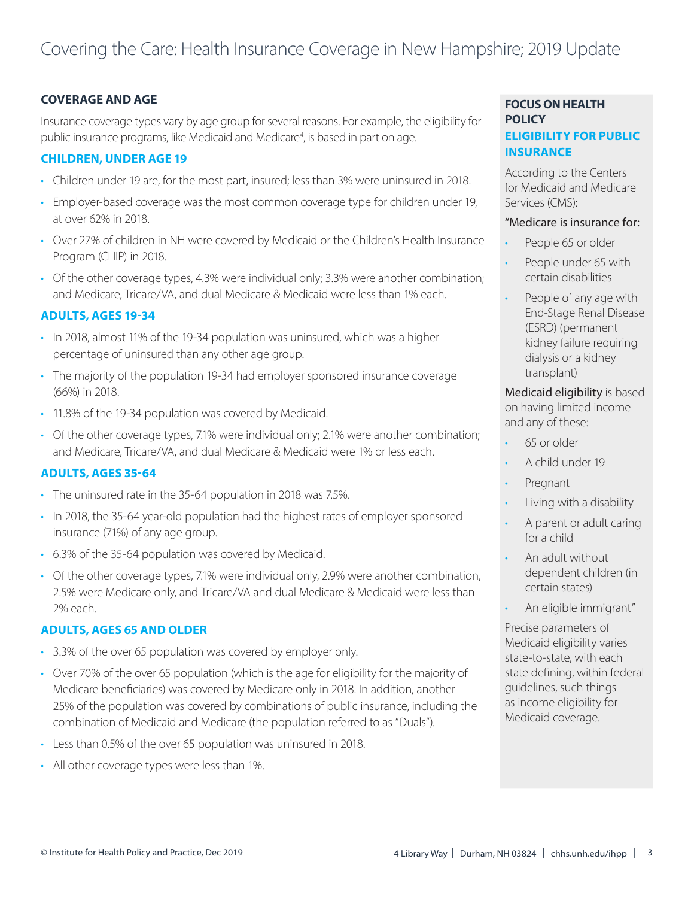# **COVERAGE AND AGE**

Insurance coverage types vary by age group for several reasons. For example, the eligibility for public insurance programs, like Medicaid and Medicare<sup>4</sup>, is based in part on age.

### **CHILDREN, UNDER AGE 19**

- Children under 19 are, for the most part, insured; less than 3% were uninsured in 2018.
- Employer-based coverage was the most common coverage type for children under 19, at over 62% in 2018.
- Over 27% of children in NH were covered by Medicaid or the Children's Health Insurance Program (CHIP) in 2018.
- Of the other coverage types, 4.3% were individual only; 3.3% were another combination; and Medicare, Tricare/VA, and dual Medicare & Medicaid were less than 1% each.

# **ADULTS, AGES 19-34**

- In 2018, almost 11% of the 19-34 population was uninsured, which was a higher percentage of uninsured than any other age group.
- The majority of the population 19-34 had employer sponsored insurance coverage (66%) in 2018.
- 11.8% of the 19-34 population was covered by Medicaid.
- Of the other coverage types, 7.1% were individual only; 2.1% were another combination; and Medicare, Tricare/VA, and dual Medicare & Medicaid were 1% or less each.

#### **ADULTS, AGES 35-64**

- The uninsured rate in the 35-64 population in 2018 was 7.5%.
- In 2018, the 35-64 year-old population had the highest rates of employer sponsored insurance (71%) of any age group.
- 6.3% of the 35-64 population was covered by Medicaid.
- Of the other coverage types, 7.1% were individual only, 2.9% were another combination, 2.5% were Medicare only, and Tricare/VA and dual Medicare & Medicaid were less than 2% each.

# **ADULTS, AGES 65 AND OLDER**

- 3.3% of the over 65 population was covered by employer only.
- Over 70% of the over 65 population (which is the age for eligibility for the majority of Medicare beneficiaries) was covered by Medicare only in 2018. In addition, another 25% of the population was covered by combinations of public insurance, including the combination of Medicaid and Medicare (the population referred to as "Duals").
- Less than 0.5% of the over 65 population was uninsured in 2018.
- All other coverage types were less than 1%.

# **FOCUS ON HEALTH POLICY ELIGIBILITY FOR PUBLIC INSURANCE**

According to the Centers for Medicaid and Medicare Services (CMS):

#### "Medicare is insurance for:

- People 65 or older
- People under 65 with certain disabilities
- People of any age with End-Stage Renal Disease (ESRD) (permanent kidney failure requiring dialysis or a kidney transplant)

Medicaid eligibility is based on having limited income and any of these:

- 65 or older
- A child under 19
- Pregnant
- Living with a disability
- A parent or adult caring for a child
- An adult without dependent children (in certain states)
- An eligible immigrant"

Precise parameters of Medicaid eligibility varies state-to-state, with each state defining, within federal guidelines, such things as income eligibility for Medicaid coverage.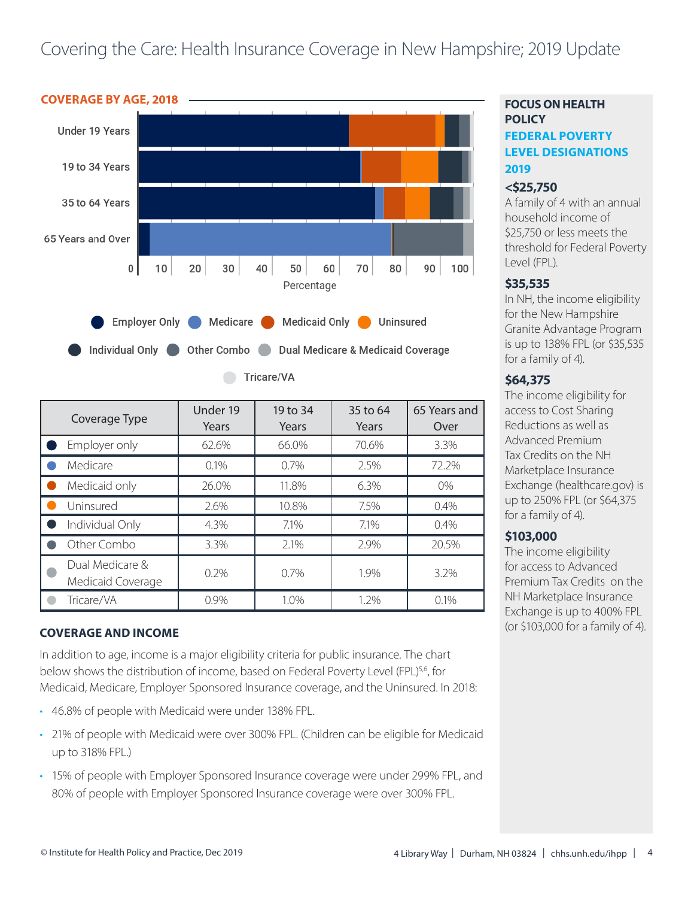

| Coverage Type                        | Under 19<br>Years | 19 to 34<br>Years | 35 to 64<br>Years | 65 Years and<br>Over |
|--------------------------------------|-------------------|-------------------|-------------------|----------------------|
| Employer only                        | 62.6%             | 66.0%             | 70.6%             | 3.3%                 |
| Medicare                             | 0.1%              | 0.7%              | 2.5%              | 72.2%                |
| Medicaid only                        | 26.0%             | 11.8%             | 6.3%              | $0\%$                |
| Uninsured                            | 2.6%              | 10.8%             | 7.5%              | 0.4%                 |
| Individual Only                      | 4.3%              | 7.1%              | 7.1%              | 0.4%                 |
| Other Combo                          | 3.3%              | 2.1%              | 2.9%              | 20.5%                |
| Dual Medicare &<br>Medicaid Coverage | 0.2%              | 0.7%              | 1.9%              | 3.2%                 |
| Tricare/VA                           | 0.9%              | 1.0%              | 1.2%              | $0.1\%$              |

# **COVERAGE AND INCOME**

In addition to age, income is a major eligibility criteria for public insurance. The chart below shows the distribution of income, based on Federal Poverty Level (FPL)<sup>5,6</sup>, for Medicaid, Medicare, Employer Sponsored Insurance coverage, and the Uninsured. In 2018:

- 46.8% of people with Medicaid were under 138% FPL.
- 21% of people with Medicaid were over 300% FPL. (Children can be eligible for Medicaid up to 318% FPL.)
- 15% of people with Employer Sponsored Insurance coverage were under 299% FPL, and 80% of people with Employer Sponsored Insurance coverage were over 300% FPL.

# **FOCUS ON HEALTH POLICY FEDERAL POVERTY LEVEL DESIGNATIONS 2019**

#### **<\$25,750**

A family of 4 with an annual household income of \$25,750 or less meets the threshold for Federal Poverty Level (FPL).

### **\$35,535**

In NH, the income eligibility for the New Hampshire Granite Advantage Program is up to 138% FPL (or \$35,535 for a family of 4).

#### **\$64,375**

The income eligibility for access to Cost Sharing Reductions as well as Advanced Premium Tax Credits on the NH Marketplace Insurance Exchange (healthcare.gov) is up to 250% FPL (or \$64,375 for a family of 4).

# **\$103,000**

The income eligibility for access to Advanced Premium Tax Credits on the NH Marketplace Insurance Exchange is up to 400% FPL (or \$103,000 for a family of 4).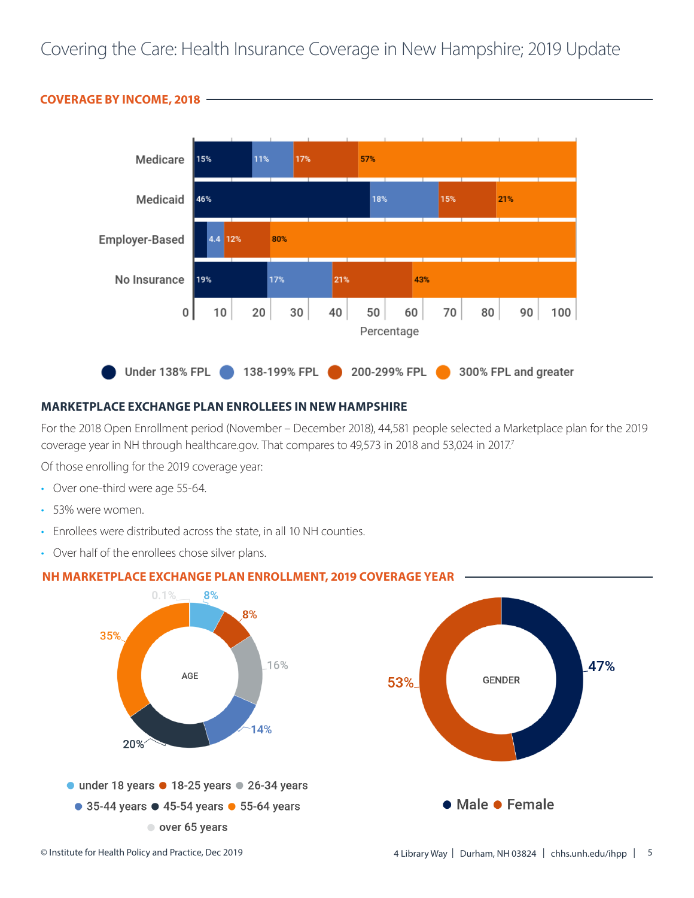

#### **COVERAGE BY INCOME, 2018**

#### **MARKETPLACE EXCHANGE PLAN ENROLLEES IN NEW HAMPSHIRE**

For the 2018 Open Enrollment period (November – December 2018), 44,581 people selected a Marketplace plan for the 2019 coverage year in NH through healthcare.gov. That compares to 49,573 in 2018 and 53,024 in 2017.<sup>7</sup>

Of those enrolling for the 2019 coverage year:

- Over one-third were age 55-64.
- 53% were women.
- Enrollees were distributed across the state, in all 10 NH counties.
- Over half of the enrollees chose silver plans.



# **NH MARKETPLACE EXCHANGE PLAN ENROLLMENT, 2019 COVERAGE YEAR**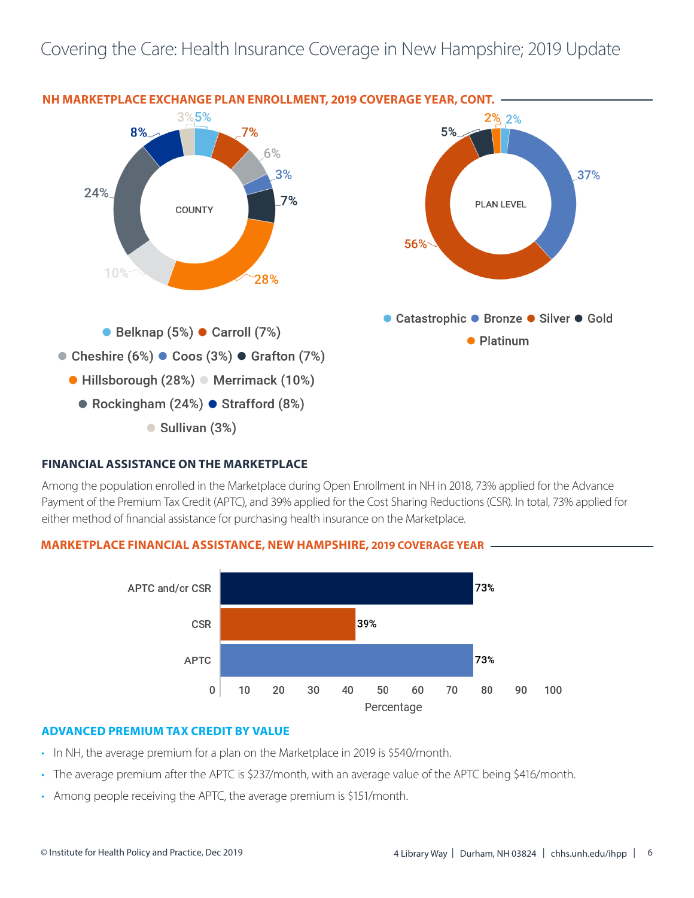

# **FINANCIAL ASSISTANCE ON THE MARKETPLACE**

Among the population enrolled in the Marketplace during Open Enrollment in NH in 2018, 73% applied for the Advance Payment of the Premium Tax Credit (APTC), and 39% applied for the Cost Sharing Reductions (CSR). In total, 73% applied for either method of financial assistance for purchasing health insurance on the Marketplace.

#### **MARKETPLACE FINANCIAL ASSISTANCE, NEW HAMPSHIRE, 2019 COVERAGE YEAR**



#### **ADVANCED PREMIUM TAX CREDIT BY VALUE**

- In NH, the average premium for a plan on the Marketplace in 2019 is \$540/month.
- The average premium after the APTC is \$237/month, with an average value of the APTC being \$416/month.
- Among people receiving the APTC, the average premium is \$151/month.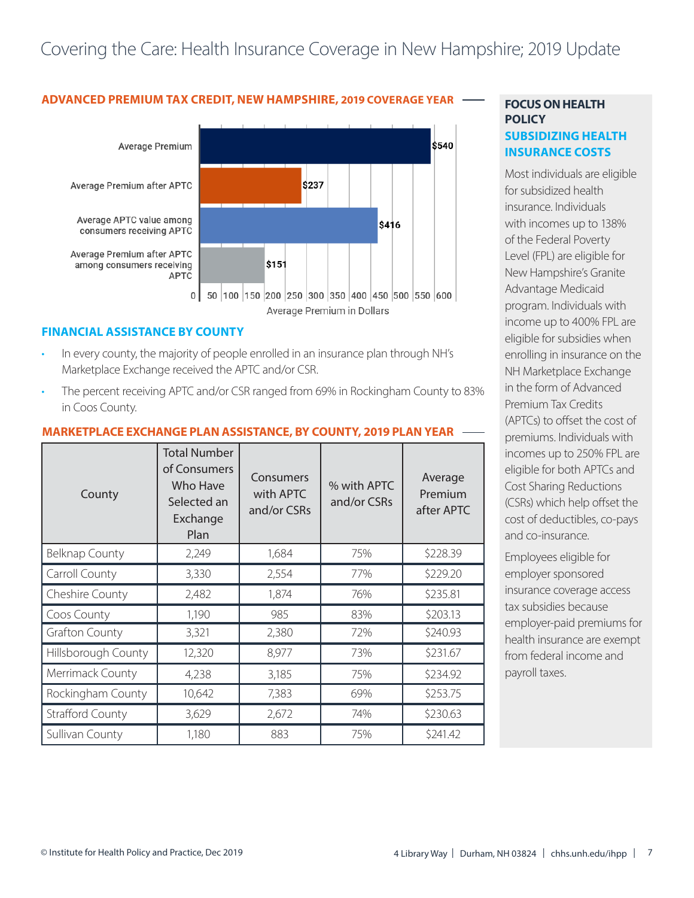# ADVANCED PREMIUM TAX CREDIT, NEW HAMPSHIRE, 2019 COVERAGE YEAR **FOCUS ON HEALTH**



#### **FINANCIAL ASSISTANCE BY COUNTY**

- In every county, the majority of people enrolled in an insurance plan through NH's Marketplace Exchange received the APTC and/or CSR.
- The percent receiving APTC and/or CSR ranged from 69% in Rockingham County to 83% in Coos County.

#### County Total Number of Consumers Who Have Selected an **Exchange** Plan Consumers with APTC and/or CSRs % with APTC and/or CSRs Average Premium after APTC Belknap County | 2,249 | 1,684 | 75% | \$228.39 Carroll County (3,330 | 2,554 | 77% | \$229.20 Cheshire County | 2,482 | 1,874 | 76% | \$235.81  $\frac{200}{1}$  Coos County 1,190  $\frac{1}{1}$  985  $\frac{1}{8}$  83%  $\frac{1}{1}$  \$203.13 Grafton County 1 3,321 2,380 72% 3240.93 Hillsborough County | 12,320 | 8,977 | 73% | \$231.67 Merrimack County | 4,238 | 3,185 | 75% | \$234.92 Rockingham County | 10,642 | 7,383 | 69% | \$253.75 Strafford County 1 3,629 2,672 74% 374% \$230.63 Sullivan County 1,180 | 883 | 75% | \$241.42

#### **MARKETPLACE EXCHANGE PLAN ASSISTANCE, BY COUNTY, 2019 PLAN YEAR**

# **POLICY SUBSIDIZING HEALTH INSURANCE COSTS**

Most individuals are eligible for subsidized health insurance. Individuals with incomes up to 138% of the Federal Poverty Level (FPL) are eligible for New Hampshire's Granite Advantage Medicaid program. Individuals with income up to 400% FPL are eligible for subsidies when enrolling in insurance on the NH Marketplace Exchange in the form of Advanced Premium Tax Credits (APTCs) to offset the cost of premiums. Individuals with incomes up to 250% FPL are eligible for both APTCs and Cost Sharing Reductions (CSRs) which help offset the cost of deductibles, co-pays and co-insurance.

Employees eligible for employer sponsored insurance coverage access tax subsidies because employer-paid premiums for health insurance are exempt from federal income and payroll taxes.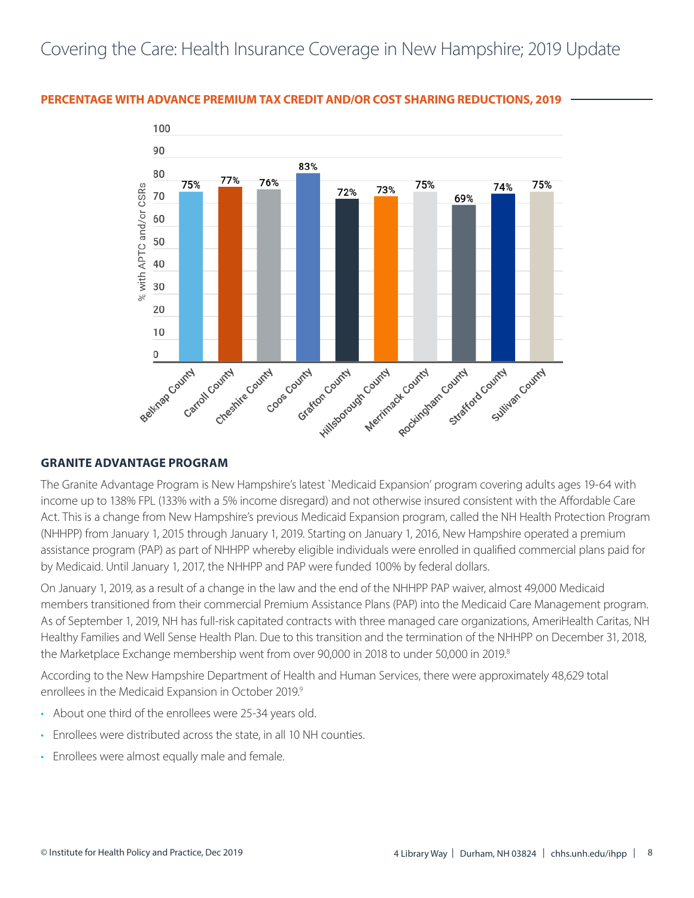### **PERCENTAGE WITH ADVANCE PREMIUM TAX CREDIT AND/OR COST SHARING REDUCTIONS, 2019**



#### **GRANITE ADVANTAGE PROGRAM**

The Granite Advantage Program is New Hampshire's latest `Medicaid Expansion' program covering adults ages 19-64 with income up to 138% FPL (133% with a 5% income disregard) and not otherwise insured consistent with the Affordable Care Act. This is a change from New Hampshire's previous Medicaid Expansion program, called the NH Health Protection Program (NHHPP) from January 1, 2015 through January 1, 2019. Starting on January 1, 2016, New Hampshire operated a premium assistance program (PAP) as part of NHHPP whereby eligible individuals were enrolled in qualified commercial plans paid for by Medicaid. Until January 1, 2017, the NHHPP and PAP were funded 100% by federal dollars.

On January 1, 2019, as a result of a change in the law and the end of the NHHPP PAP waiver, almost 49,000 Medicaid members transitioned from their commercial Premium Assistance Plans (PAP) into the Medicaid Care Management program. As of September 1, 2019, NH has full-risk capitated contracts with three managed care organizations, AmeriHealth Caritas, NH Healthy Families and Well Sense Health Plan. Due to this transition and the termination of the NHHPP on December 31, 2018, the Marketplace Exchange membership went from over 90,000 in 2018 to under 50,000 in 2019.<sup>8</sup>

According to the New Hampshire Department of Health and Human Services, there were approximately 48,629 total enrollees in the Medicaid Expansion in October 2019.<sup>9</sup>

- About one third of the enrollees were 25-34 years old.
- Enrollees were distributed across the state, in all 10 NH counties.
- Enrollees were almost equally male and female.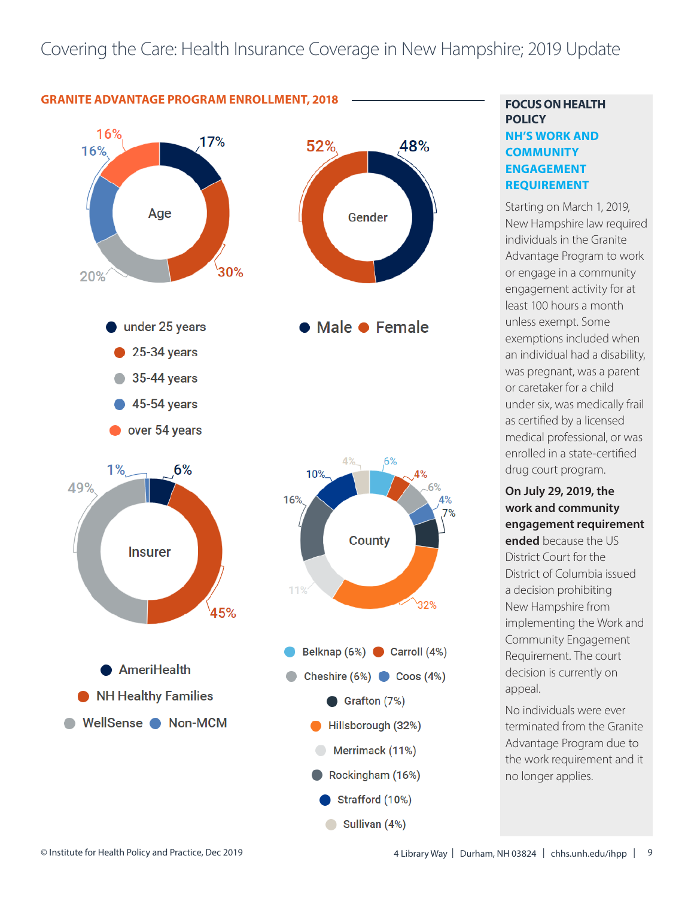

Sullivan (4%)

# **FOCUS ON HEALTH POLICY NH'S WORK AND COMMUNITY ENGAGEMENT REQUIREMENT**

Starting on March 1, 2019, New Hampshire law required individuals in the Granite Advantage Program to work or engage in a community engagement activity for at least 100 hours a month unless exempt. Some exemptions included when an individual had a disability, was pregnant, was a parent or caretaker for a child under six, was medically frail as certified by a licensed medical professional, or was enrolled in a state-certified drug court program.

**On July 29, 2019, the work and community engagement requirement ended** because the US District Court for the District of Columbia issued a decision prohibiting New Hampshire from implementing the Work and Community Engagement Requirement. The court decision is currently on appeal.

No individuals were ever terminated from the Granite Advantage Program due to the work requirement and it no longer applies.